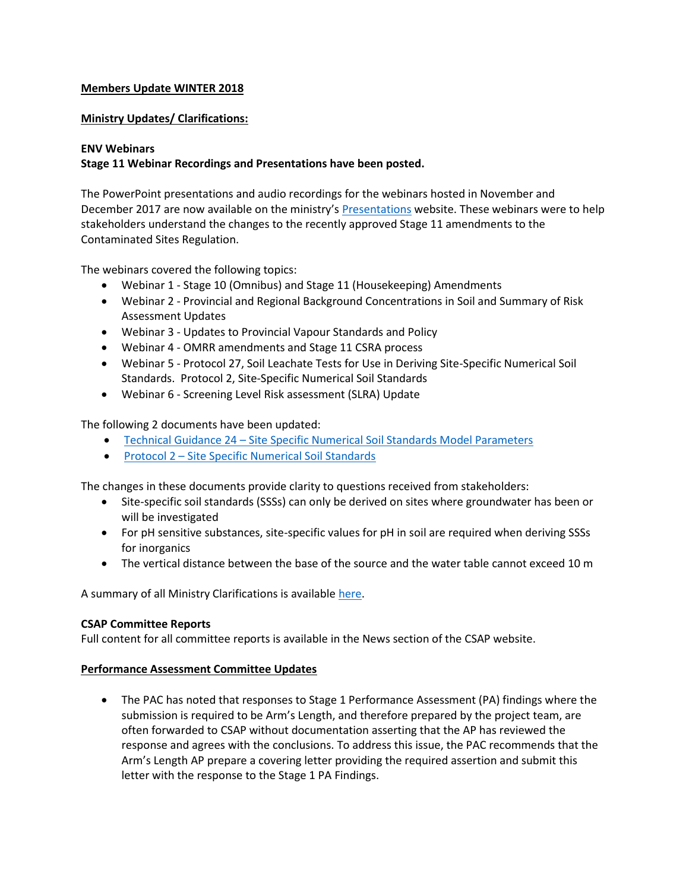### **Members Update WINTER 2018**

### **Ministry Updates/ Clarifications:**

#### **ENV Webinars**

## **Stage 11 Webinar Recordings and Presentations have been posted.**

The PowerPoint presentations and audio recordings for the webinars hosted in November and December 2017 are now available on the ministry's [Presentations](https://www2.gov.bc.ca/gov/content/environment/air-land-water/site-remediation/guidance-resources/presentations) website. These webinars were to help stakeholders understand the changes to the recently approved Stage 11 amendments to the Contaminated Sites Regulation.

The webinars covered the following topics:

- Webinar 1 Stage 10 (Omnibus) and Stage 11 (Housekeeping) Amendments
- Webinar 2 Provincial and Regional Background Concentrations in Soil and Summary of Risk Assessment Updates
- Webinar 3 Updates to Provincial Vapour Standards and Policy
- Webinar 4 OMRR amendments and Stage 11 CSRA process
- Webinar 5 Protocol 27, Soil Leachate Tests for Use in Deriving Site-Specific Numerical Soil Standards. Protocol 2, Site-Specific Numerical Soil Standards
- Webinar 6 Screening Level Risk assessment (SLRA) Update

The following 2 documents have been updated:

- Technical Guidance 24 [Site Specific Numerical Soil Standards Model Parameters](https://www2.gov.bc.ca/assets/gov/environment/air-land-water/site-remediation/docs/technical-guidance/tg24.pdf)
- Protocol 2 [Site Specific Numerical Soil Standards](https://www2.gov.bc.ca/assets/gov/environment/air-land-water/site-remediation/docs/protocols/protocol_2.pdf)

The changes in these documents provide clarity to questions received from stakeholders:

- Site-specific soil standards (SSSs) can only be derived on sites where groundwater has been or will be investigated
- For pH sensitive substances, site-specific values for pH in soil are required when deriving SSSs for inorganics
- The vertical distance between the base of the source and the water table cannot exceed 10 m

A summary of all Ministry Clarifications is available [here.](http://csapsociety.bc.ca/wp/wp-content/uploads/Ministry-Updates-Fall-2017-to-Summer-2012.pdf)

### **CSAP Committee Reports**

Full content for all committee reports is available in the News section of the CSAP website.

### **Performance Assessment Committee Updates**

 The PAC has noted that responses to Stage 1 Performance Assessment (PA) findings where the submission is required to be Arm's Length, and therefore prepared by the project team, are often forwarded to CSAP without documentation asserting that the AP has reviewed the response and agrees with the conclusions. To address this issue, the PAC recommends that the Arm's Length AP prepare a covering letter providing the required assertion and submit this letter with the response to the Stage 1 PA Findings.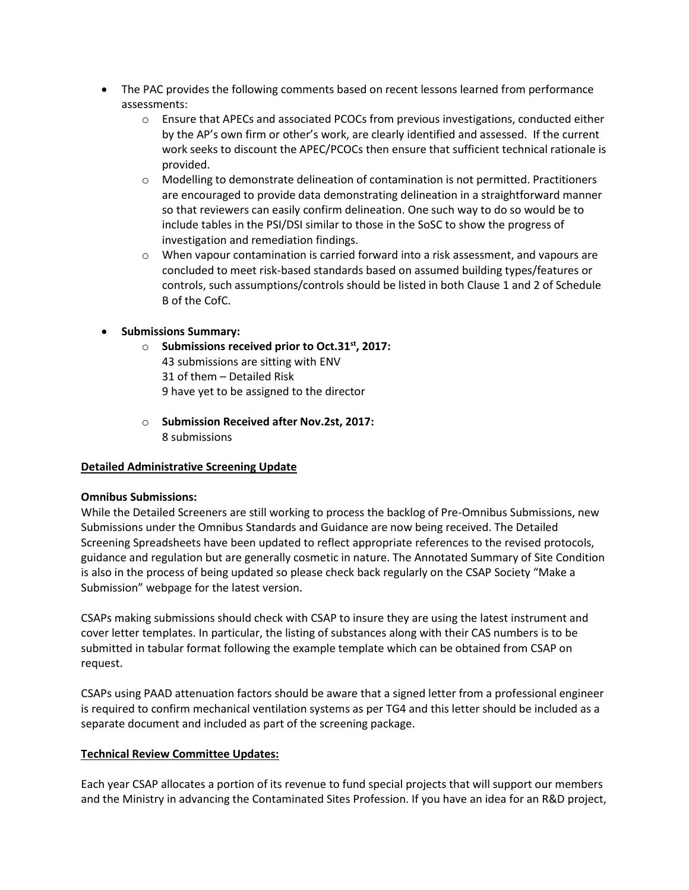- The PAC provides the following comments based on recent lessons learned from performance assessments:
	- o Ensure that APECs and associated PCOCs from previous investigations, conducted either by the AP's own firm or other's work, are clearly identified and assessed. If the current work seeks to discount the APEC/PCOCs then ensure that sufficient technical rationale is provided.
	- o Modelling to demonstrate delineation of contamination is not permitted. Practitioners are encouraged to provide data demonstrating delineation in a straightforward manner so that reviewers can easily confirm delineation. One such way to do so would be to include tables in the PSI/DSI similar to those in the SoSC to show the progress of investigation and remediation findings.
	- $\circ$  When vapour contamination is carried forward into a risk assessment, and vapours are concluded to meet risk-based standards based on assumed building types/features or controls, such assumptions/controls should be listed in both Clause 1 and 2 of Schedule B of the CofC.
- **Submissions Summary:**
	- o **Submissions received prior to Oct.31st, 2017:**  43 submissions are sitting with ENV 31 of them – Detailed Risk 9 have yet to be assigned to the director
	- o **Submission Received after Nov.2st, 2017:**  8 submissions

# **Detailed Administrative Screening Update**

### **Omnibus Submissions:**

While the Detailed Screeners are still working to process the backlog of Pre-Omnibus Submissions, new Submissions under the Omnibus Standards and Guidance are now being received. The Detailed Screening Spreadsheets have been updated to reflect appropriate references to the revised protocols, guidance and regulation but are generally cosmetic in nature. The Annotated Summary of Site Condition is also in the process of being updated so please check back regularly on the CSAP Society "Make a Submission" webpage for the latest version.

CSAPs making submissions should check with CSAP to insure they are using the latest instrument and cover letter templates. In particular, the listing of substances along with their CAS numbers is to be submitted in tabular format following the example template which can be obtained from CSAP on request.

CSAPs using PAAD attenuation factors should be aware that a signed letter from a professional engineer is required to confirm mechanical ventilation systems as per TG4 and this letter should be included as a separate document and included as part of the screening package.

### **Technical Review Committee Updates:**

Each year CSAP allocates a portion of its revenue to fund special projects that will support our members and the Ministry in advancing the Contaminated Sites Profession. If you have an idea for an R&D project,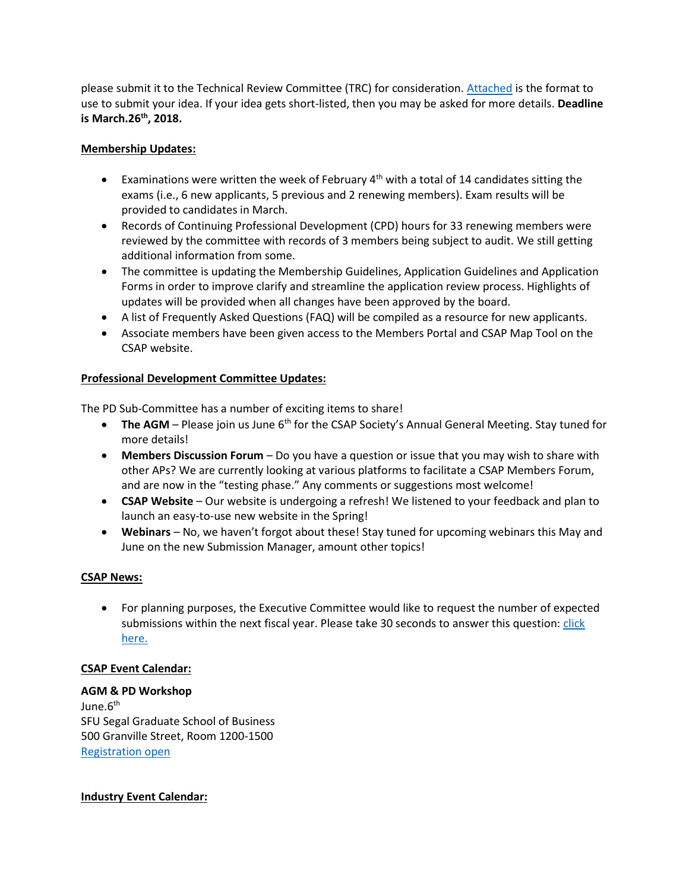please submit it to the Technical Review Committee (TRC) for consideration. [Attached](https://csapsociety.bc.ca/wp-content/uploads/OUTLINE-RD-prop-to-TRC-template-2018-19.doc) is the format to use to submit your idea. If your idea gets short-listed, then you may be asked for more details. **Deadline is March.26th, 2018.**

## **Membership Updates:**

- Examinations were written the week of February  $4<sup>th</sup>$  with a total of 14 candidates sitting the exams (i.e., 6 new applicants, 5 previous and 2 renewing members). Exam results will be provided to candidates in March.
- Records of Continuing Professional Development (CPD) hours for 33 renewing members were reviewed by the committee with records of 3 members being subject to audit. We still getting additional information from some.
- The committee is updating the Membership Guidelines, Application Guidelines and Application Forms in order to improve clarify and streamline the application review process. Highlights of updates will be provided when all changes have been approved by the board.
- A list of Frequently Asked Questions (FAQ) will be compiled as a resource for new applicants.
- Associate members have been given access to the Members Portal and CSAP Map Tool on the CSAP website.

## **Professional Development Committee Updates:**

The PD Sub-Committee has a number of exciting items to share!

- **The AGM** Please join us June 6<sup>th</sup> for the CSAP Society's Annual General Meeting. Stay tuned for more details!
- **Members Discussion Forum** Do you have a question or issue that you may wish to share with other APs? We are currently looking at various platforms to facilitate a CSAP Members Forum, and are now in the "testing phase." Any comments or suggestions most welcome!
- **CSAP Website** Our website is undergoing a refresh! We listened to your feedback and plan to launch an easy-to-use new website in the Spring!
- **Webinars** No, we haven't forgot about these! Stay tuned for upcoming webinars this May and June on the new Submission Manager, amount other topics!

# **CSAP News:**

 For planning purposes, the Executive Committee would like to request the number of expected submissions within the next fiscal year. Please take 30 seconds to answer this question[: click](https://www.surveymonkey.com/r/7Z3XBDT)  [here.](https://www.surveymonkey.com/r/7Z3XBDT)

### **CSAP Event Calendar:**

# **AGM & PD Workshop**

June.6<sup>th</sup> SFU Segal Graduate School of Business 500 Granville Street, Room 1200-1500 [Registration open](https://csapsociety.bc.ca/events/)

### **Industry Event Calendar:**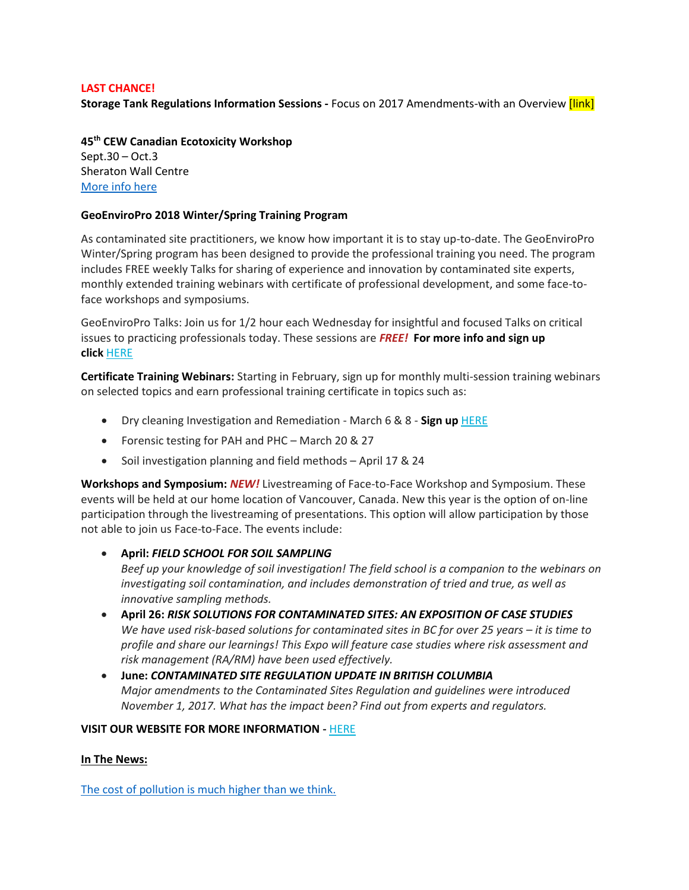### **LAST CHANCE!**

**Storage Tank Regulations Information Sessions -** Focus on 2017 Amendments-with an Overview [link]

**45th CEW Canadian Ecotoxicity Workshop** Sept.30 – Oct.3 Sheraton Wall Centre [More info here](https://ecotoxcan.ca/)

#### **GeoEnviroPro 2018 Winter/Spring Training Program**

As contaminated site practitioners, we know how important it is to stay up-to-date. The GeoEnviroPro Winter/Spring program has been designed to provide the professional training you need. The program includes FREE weekly Talks for sharing of experience and innovation by contaminated site experts, monthly extended training webinars with certificate of professional development, and some face-toface workshops and symposiums.

GeoEnviroPro Talks: Join us for 1/2 hour each Wednesday for insightful and focused Talks on critical issues to practicing professionals today. These sessions are *FREE!* **For more info and sign up click** [HERE](http://geoenviropro.com/gprotalks/)

**Certificate Training Webinars:** Starting in February, sign up for monthly multi-session training webinars on selected topics and earn professional training certificate in topics such as:

- Dry cleaning Investigation and Remediation March 6 & 8 **Sign up** [HERE](http://geoenviropro.com/events/dry_cleaner/)
- Forensic testing for PAH and PHC March 20 & 27
- Soil investigation planning and field methods April 17 & 24

**Workshops and Symposium:** *NEW!* Livestreaming of Face-to-Face Workshop and Symposium. These events will be held at our home location of Vancouver, Canada. New this year is the option of on-line participation through the livestreaming of presentations. This option will allow participation by those not able to join us Face-to-Face. The events include:

**April:** *FIELD SCHOOL FOR SOIL SAMPLING*

*Beef up your knowledge of soil investigation! The field school is a companion to the webinars on investigating soil contamination, and includes demonstration of tried and true, as well as innovative sampling methods.* 

- **April 26:** *RISK SOLUTIONS FOR CONTAMINATED SITES: AN EXPOSITION OF CASE STUDIES We have used risk-based solutions for contaminated sites in BC for over 25 years – it is time to profile and share our learnings! This Expo will feature case studies where risk assessment and risk management (RA/RM) have been used effectively.*
- **June:** *CONTAMINATED SITE REGULATION UPDATE IN BRITISH COLUMBIA Major amendments to the Contaminated Sites Regulation and guidelines were introduced November 1, 2017. What has the impact been? Find out from experts and regulators.*

### **VISIT OUR WEBSITE FOR MORE INFORMATION -** [HERE](http://geoenviropro.com/)

### **In The News:**

[The cost of pollution is much higher than we think.](https://www.theglobeandmail.com/report-on-business/rob-commentary/the-cost-of-pollution-is-much-higher-than-we-think/article37254797/)